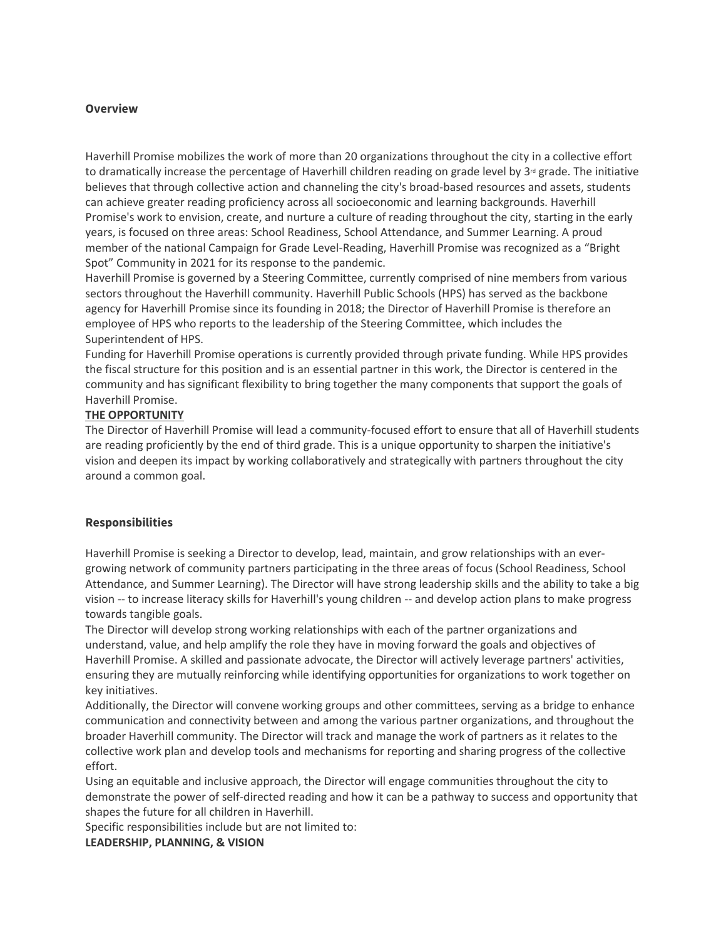#### **Overview**

Haverhill Promise mobilizes the work of more than 20 organizations throughout the city in a collective effort to dramatically increase the percentage of Haverhill children reading on grade level by  $3<sup>d</sup>$  grade. The initiative believes that through collective action and channeling the city's broad-based resources and assets, students can achieve greater reading proficiency across all socioeconomic and learning backgrounds. Haverhill Promise's work to envision, create, and nurture a culture of reading throughout the city, starting in the early years, is focused on three areas: School Readiness, School Attendance, and Summer Learning. A proud member of the national Campaign for Grade Level-Reading, Haverhill Promise was recognized as a "Bright Spot" Community in 2021 for its response to the pandemic.

Haverhill Promise is governed by a Steering Committee, currently comprised of nine members from various sectors throughout the Haverhill community. Haverhill Public Schools (HPS) has served as the backbone agency for Haverhill Promise since its founding in 2018; the Director of Haverhill Promise is therefore an employee of HPS who reports to the leadership of the Steering Committee, which includes the Superintendent of HPS.

Funding for Haverhill Promise operations is currently provided through private funding. While HPS provides the fiscal structure for this position and is an essential partner in this work, the Director is centered in the community and has significant flexibility to bring together the many components that support the goals of Haverhill Promise.

### **THE OPPORTUNITY**

The Director of Haverhill Promise will lead a community-focused effort to ensure that all of Haverhill students are reading proficiently by the end of third grade. This is a unique opportunity to sharpen the initiative's vision and deepen its impact by working collaboratively and strategically with partners throughout the city around a common goal.

#### **Responsibilities**

Haverhill Promise is seeking a Director to develop, lead, maintain, and grow relationships with an evergrowing network of community partners participating in the three areas of focus (School Readiness, School Attendance, and Summer Learning). The Director will have strong leadership skills and the ability to take a big vision -- to increase literacy skills for Haverhill's young children -- and develop action plans to make progress towards tangible goals.

The Director will develop strong working relationships with each of the partner organizations and understand, value, and help amplify the role they have in moving forward the goals and objectives of Haverhill Promise. A skilled and passionate advocate, the Director will actively leverage partners' activities, ensuring they are mutually reinforcing while identifying opportunities for organizations to work together on key initiatives.

Additionally, the Director will convene working groups and other committees, serving as a bridge to enhance communication and connectivity between and among the various partner organizations, and throughout the broader Haverhill community. The Director will track and manage the work of partners as it relates to the collective work plan and develop tools and mechanisms for reporting and sharing progress of the collective effort.

Using an equitable and inclusive approach, the Director will engage communities throughout the city to demonstrate the power of self-directed reading and how it can be a pathway to success and opportunity that shapes the future for all children in Haverhill.

Specific responsibilities include but are not limited to:

**LEADERSHIP, PLANNING, & VISION**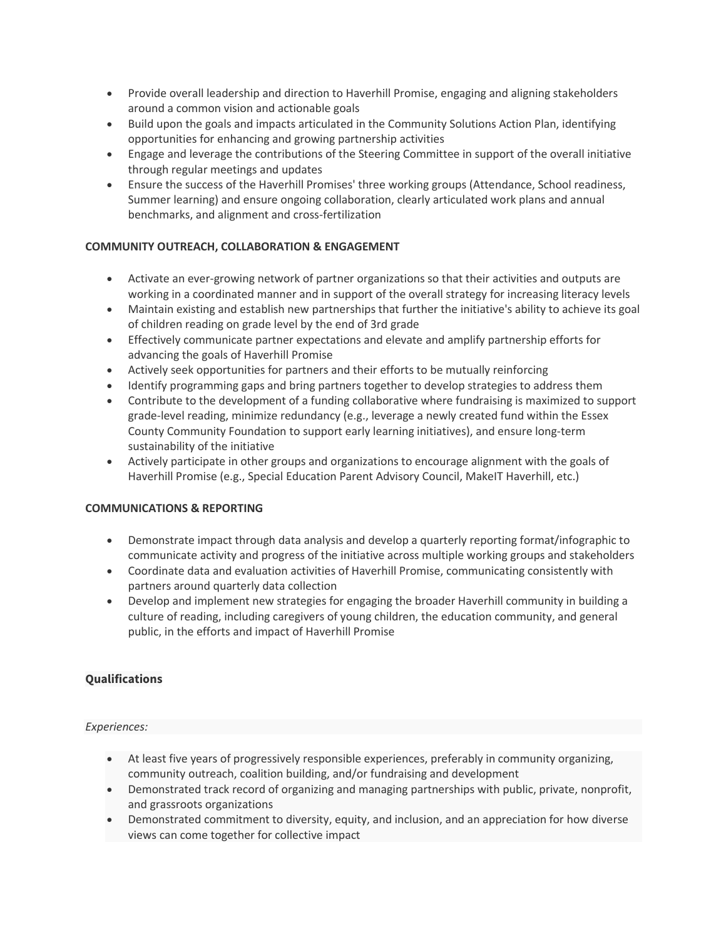- Provide overall leadership and direction to Haverhill Promise, engaging and aligning stakeholders around a common vision and actionable goals
- Build upon the goals and impacts articulated in the Community Solutions Action Plan, identifying opportunities for enhancing and growing partnership activities
- Engage and leverage the contributions of the Steering Committee in support of the overall initiative through regular meetings and updates
- Ensure the success of the Haverhill Promises' three working groups (Attendance, School readiness, Summer learning) and ensure ongoing collaboration, clearly articulated work plans and annual benchmarks, and alignment and cross-fertilization

# **COMMUNITY OUTREACH, COLLABORATION & ENGAGEMENT**

- Activate an ever-growing network of partner organizations so that their activities and outputs are working in a coordinated manner and in support of the overall strategy for increasing literacy levels
- Maintain existing and establish new partnerships that further the initiative's ability to achieve its goal of children reading on grade level by the end of 3rd grade
- Effectively communicate partner expectations and elevate and amplify partnership efforts for advancing the goals of Haverhill Promise
- Actively seek opportunities for partners and their efforts to be mutually reinforcing
- Identify programming gaps and bring partners together to develop strategies to address them
- Contribute to the development of a funding collaborative where fundraising is maximized to support grade-level reading, minimize redundancy (e.g., leverage a newly created fund within the Essex County Community Foundation to support early learning initiatives), and ensure long-term sustainability of the initiative
- Actively participate in other groups and organizations to encourage alignment with the goals of Haverhill Promise (e.g., Special Education Parent Advisory Council, MakeIT Haverhill, etc.)

## **COMMUNICATIONS & REPORTING**

- Demonstrate impact through data analysis and develop a quarterly reporting format/infographic to communicate activity and progress of the initiative across multiple working groups and stakeholders
- Coordinate data and evaluation activities of Haverhill Promise, communicating consistently with partners around quarterly data collection
- Develop and implement new strategies for engaging the broader Haverhill community in building a culture of reading, including caregivers of young children, the education community, and general public, in the efforts and impact of Haverhill Promise

## **Qualifications**

## *Experiences:*

- At least five years of progressively responsible experiences, preferably in community organizing, community outreach, coalition building, and/or fundraising and development
- Demonstrated track record of organizing and managing partnerships with public, private, nonprofit, and grassroots organizations
- Demonstrated commitment to diversity, equity, and inclusion, and an appreciation for how diverse views can come together for collective impact